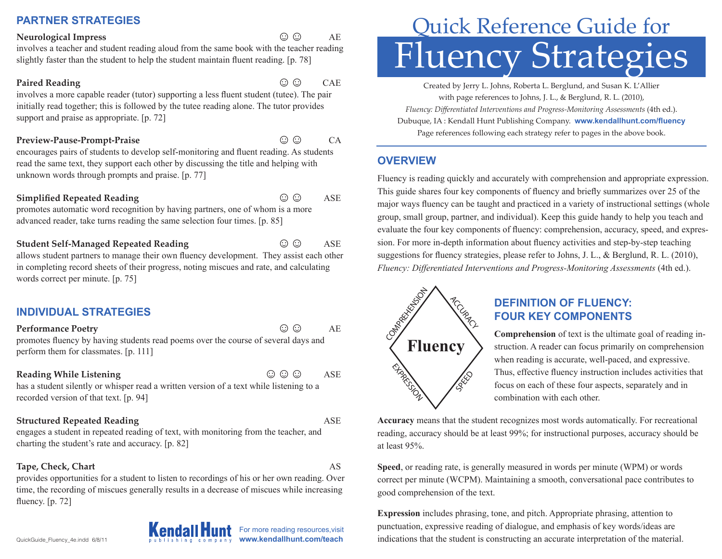# **PARTNER STRATEGIES**

#### **Neurological Impress** ☺☺ AE

involves a teacher and student reading aloud from the same book with the teacher reading slightly faster than the student to help the student maintain fluent reading. [p. 78]

#### **Paired Reading the COU CAE CAE COULD BE A READING TO CAE CAE CAE COULD BE A REAL PAIR**

involves a more capable reader (tutor) supporting a less fluent student (tutee). The pair initially read together; this is followed by the tutee reading alone. The tutor provides support and praise as appropriate. [p. 72]

#### **Preview-Pause-Prompt-Praise** and the control of  $\mathbb{C}$   $\mathbb{C}$  CA

encourages pairs of students to develop self-monitoring and fluent reading. As students read the same text, they support each other by discussing the title and helping with unknown words through prompts and praise. [p. 77]

### **Simplified Repeated Reading**  $\qquad \qquad \bigcirc \bigcirc$  **ASE**

promotes automatic word recognition by having partners, one of whom is a more advanced reader, take turns reading the same selection four times. [p. 85]

**Student Self-Managed Repeated Reading** ☺☺ ASE allows student partners to manage their own fluency development. They assist each other in completing record sheets of their progress, noting miscues and rate, and calculating words correct per minute. [p. 75]

# **INDIVIDUAL STRATEGIES**

**Performance Poetry** and **AE** promotes fluency by having students read poems over the course of several days and perform them for classmates. [p. 111]

### **Reading While Listening the Contract of Contract ASE**

has a student silently or whisper read a written version of a text while listening to a recorded version of that text. [p. 94]

# **Structured Repeated Reading**  The Community of the ASE ASE

engages a student in repeated reading of text, with monitoring from the teacher, and charting the student's rate and accuracy. [p. 82]

# **Tape, Check, Chart** AS

provides opportunities for a student to listen to recordings of his or her own reading. Over time, the recording of miscues generally results in a decrease of miscues while increasing fluency. [p. 72]



# Fluency Strategies Quick Reference Guide for

Created by Jerry L. Johns, Roberta L. Berglund, and Susan K. L'Allier with page references to Johns, J. L., & Berglund, R. L. (2010), *Fluency: Differentiated Interventions and Progress-Monitoring Assessments* (4th ed.). Dubuque, IA : Kendall Hunt Publishing Company. **www.kendallhunt.com/fluency**  Page references following each strategy refer to pages in the above book.

# **OVERVIEW**

Fluency is reading quickly and accurately with comprehension and appropriate expression. This guide shares four key components of fluency and briefly summarizes over 25 of the major ways fluency can be taught and practiced in a variety of instructional settings (whole group, small group, partner, and individual). Keep this guide handy to help you teach and evaluate the four key components of fluency: comprehension, accuracy, speed, and expression. For more in-depth information about fluency activities and step-by-step teaching suggestions for fluency strategies, please refer to Johns, J. L., & Berglund, R. L. (2010), *Fluency: Differentiated Interventions and Progress-Monitoring Assessments* (4th ed.).



# **DEFINITION OF FLUENCY: FOUR KEY COMPONENTS**

**Comprehension** of text is the ultimate goal of reading instruction. A reader can focus primarily on comprehension when reading is accurate, well-paced, and expressive. Thus, effective fluency instruction includes activities that focus on each of these four aspects, separately and in combination with each other.

**Accuracy** means that the student recognizes most words automatically. For recreational reading, accuracy should be at least 99%; for instructional purposes, accuracy should be at least 95%.

**Speed**, or reading rate, is generally measured in words per minute (WPM) or words correct per minute (WCPM). Maintaining a smooth, conversational pace contributes to good comprehension of the text.

**Expression** includes phrasing, tone, and pitch. Appropriate phrasing, attention to punctuation, expressive reading of dialogue, and emphasis of key words/ideas are indications that the student is constructing an accurate interpretation of the material.

For more reading resources,visit